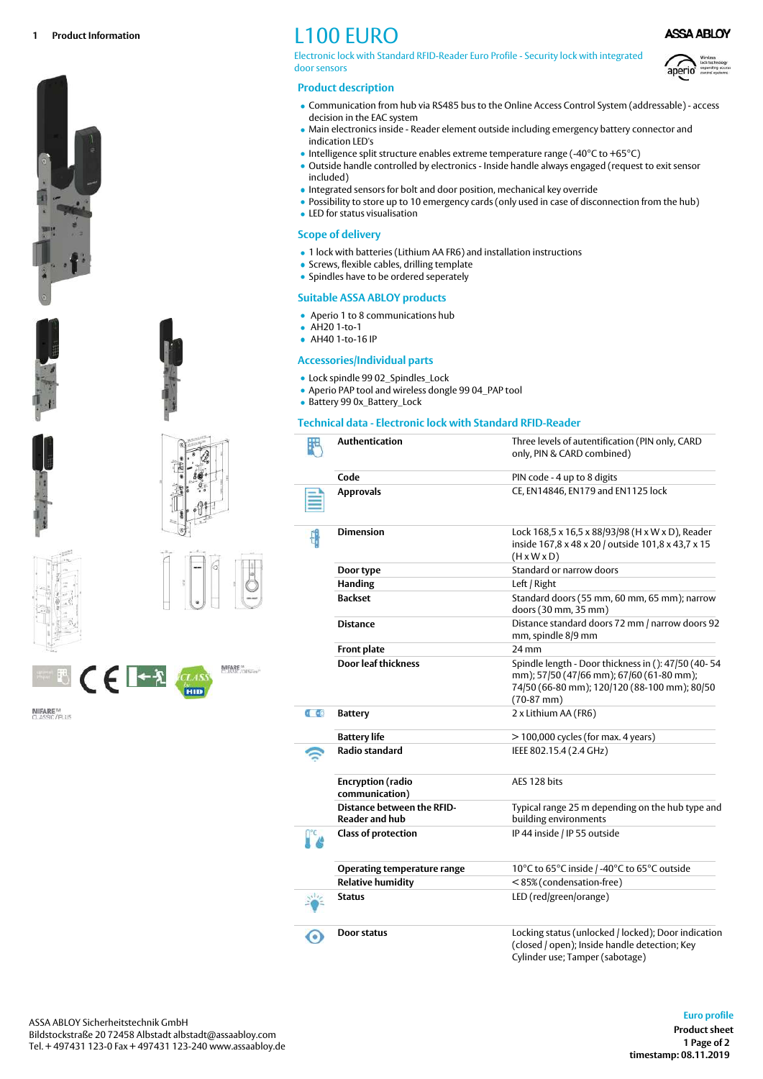











**MIFARE<sup>W</sup>**<br>CLASSIC/PLUS

# L100 EURO

Electronic lock with Standard RFID-Reader Euro Profile - Security lock with integrated door sensors

## **Product description**

- Communication from hub via RS485 bus to the Online Access Control System (addressable) access decision in the EAC system
- Main electronics inside Reader element outside including emergency battery connector and indication LED's
- $\bullet$  Intelligence split structure enables extreme temperature range (-40°C to +65°C)
- Outside handle controlled by electronics Inside handle always engaged (request to exit sensor included)
- Integrated sensors for bolt and door position, mechanical key override
- Possibility to store up to 10 emergency cards (only used in case of disconnection from the hub)
- LED for status visualisation

### **Scope of delivery**

- 1 lock with batteries (Lithium AA FR6) and installation instructions
- Screws, flexible cables, drilling template
- Spindles have to be ordered seperately

#### **Suitable ASSA ABLOY products**

- Aperio 1 to 8 communications hub
- AH20 1-to-1
- AH40 1-to-16 IP

#### **Accessories/Individual parts**

- Lock spindle 99 02 Spindles Lock
- Aperio PAP tool and wireless dongle 99 04\_PAP tool
- Battery 99 0x\_Battery\_Lock

## **Technical data - Electronic lock with Standard RFID-Reader**

|          | Authentication                                             | Three levels of autentification (PIN only, CARD<br>only, PIN & CARD combined)                                                                                   |
|----------|------------------------------------------------------------|-----------------------------------------------------------------------------------------------------------------------------------------------------------------|
|          | Code                                                       | PIN code - 4 up to 8 digits                                                                                                                                     |
|          | <b>Approvals</b>                                           | CE, EN14846, EN179 and EN1125 lock                                                                                                                              |
|          | <b>Dimension</b>                                           | Lock 168,5 x 16,5 x 88/93/98 (H x W x D), Reader<br>inside 167,8 x 48 x 20 / outside 101,8 x 43,7 x 15<br>$(H \times W \times D)$                               |
|          | Door type                                                  | Standard or narrow doors                                                                                                                                        |
|          | <b>Handing</b>                                             | Left / Right                                                                                                                                                    |
|          | <b>Backset</b>                                             | Standard doors (55 mm, 60 mm, 65 mm); narrow<br>doors (30 mm, 35 mm)                                                                                            |
|          | <b>Distance</b>                                            | Distance standard doors 72 mm / narrow doors 92<br>mm, spindle 8/9 mm                                                                                           |
|          | <b>Front plate</b>                                         | $24$ mm                                                                                                                                                         |
|          | Door leaf thickness                                        | Spindle length - Door thickness in (): 47/50 (40-54<br>mm); 57/50 (47/66 mm); 67/60 (61-80 mm);<br>74/50 (66-80 mm); 120/120 (88-100 mm); 80/50<br>$(70-87$ mm) |
| $0 - 68$ | <b>Battery</b>                                             | 2 x Lithium AA (FR6)                                                                                                                                            |
|          | <b>Battery life</b>                                        | > 100,000 cycles (for max. 4 years)                                                                                                                             |
|          | <b>Radio standard</b>                                      | IEEE 802.15.4 (2.4 GHz)                                                                                                                                         |
|          | <b>Encryption</b> (radio<br>communication)                 | AES 128 bits                                                                                                                                                    |
|          | <b>Distance between the RFID-</b><br><b>Reader and hub</b> | Typical range 25 m depending on the hub type and<br>building environments                                                                                       |
|          | <b>Class of protection</b>                                 | IP 44 inside / IP 55 outside                                                                                                                                    |
|          | <b>Operating temperature range</b>                         | 10°C to 65°C inside / -40°C to 65°C outside                                                                                                                     |
|          | <b>Relative humidity</b>                                   | <85% (condensation-free)                                                                                                                                        |
|          | <b>Status</b>                                              | LED (red/green/orange)                                                                                                                                          |
|          | Door status                                                | Locking status (unlocked / locked); Door indication<br>(closed / open); Inside handle detection; Key<br>Cylinder use; Tamper (sabotage)                         |

**Euro profile**